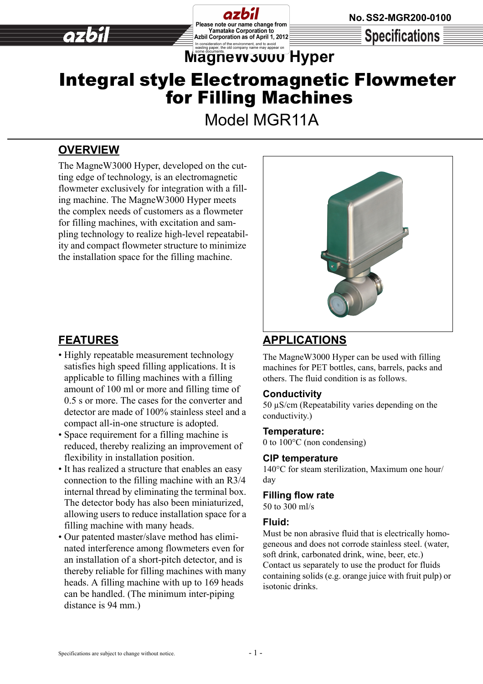**Specifications** 

# **Maging pages, the environment, and to avoid in a second consideration of the environment, and to avoid comparison and to avoid second comparison of the environment, and to avoid comparison of the comparison of the compari** Integral style Electromagnetic Flowmeter

Please note our name change from **Yamatake Corporation to** 

Azbil Corporation as of April 1, 2012

for Filling Machines

Model MGR11A

## **OVERVIEW**

The MagneW3000 Hyper, developed on the cutting edge of technology, is an electromagnetic flowmeter exclusively for integration with a filling machine. The MagneW3000 Hyper meets the complex needs of customers as a flowmeter for filling machines, with excitation and sampling technology to realize high-level repeatability and compact flowmeter structure to minimize the installation space for the filling machine.



## **FEATURES**

- Highly repeatable measurement technology satisfies high speed filling applications. It is applicable to filling machines with a filling amount of 100 ml or more and filling time of 0.5 s or more. The cases for the converter and detector are made of 100% stainless steel and a compact all-in-one structure is adopted.
- Space requirement for a filling machine is reduced, thereby realizing an improvement of flexibility in installation position.
- It has realized a structure that enables an easy connection to the filling machine with an R3/4 internal thread by eliminating the terminal box. The detector body has also been miniaturized, allowing users to reduce installation space for a filling machine with many heads.
- Our patented master/slave method has eliminated interference among flowmeters even for an installation of a short-pitch detector, and is thereby reliable for filling machines with many heads. A filling machine with up to 169 heads can be handled. (The minimum inter-piping distance is 94 mm.)

## **APPLICATIONS**

The MagneW3000 Hyper can be used with filling machines for PET bottles, cans, barrels, packs and others. The fluid condition is as follows.

### **Conductivity**

50 µS/cm (Repeatability varies depending on the conductivity.)

#### **Temperature:**

0 to 100°C (non condensing)

#### **CIP temperature**

140°C for steam sterilization, Maximum one hour/ day

### **Filling flow rate**

50 to 300 ml/s

#### **Fluid:**

Must be non abrasive fluid that is electrically homogeneous and does not corrode stainless steel. (water, soft drink, carbonated drink, wine, beer, etc.) Contact us separately to use the product for fluids containing solids (e.g. orange juice with fruit pulp) or isotonic drinks.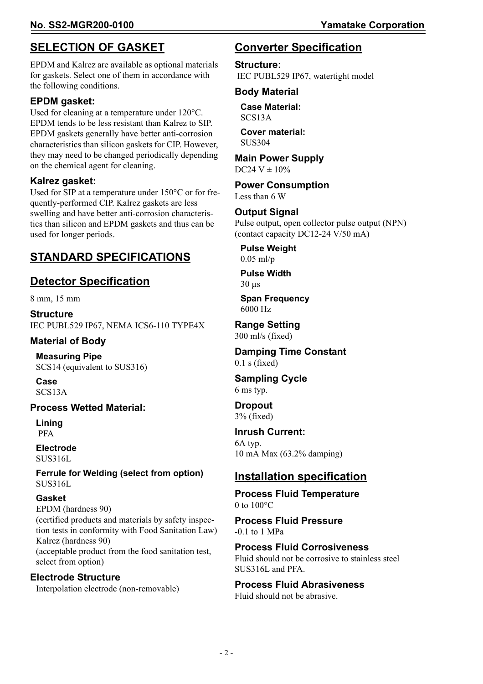## **SELECTION OF GASKET**

EPDM and Kalrez are available as optional materials for gaskets. Select one of them in accordance with the following conditions.

### **EPDM gasket:**

Used for cleaning at a temperature under 120°C. EPDM tends to be less resistant than Kalrez to SIP. EPDM gaskets generally have better anti-corrosion characteristics than silicon gaskets for CIP. However, they may need to be changed periodically depending on the chemical agent for cleaning.

#### **Kalrez gasket:**

Used for SIP at a temperature under 150°C or for frequently-performed CIP. Kalrez gaskets are less swelling and have better anti-corrosion characteristics than silicon and EPDM gaskets and thus can be used for longer periods.

### **STANDARD SPECIFICATIONS**

### **Detector Specification**

8 mm, 15 mm

**Structure**  IEC PUBL529 IP67, NEMA ICS6-110 TYPE4X

## **Material of Body**

**Measuring Pipe** SCS14 (equivalent to SUS316)

**Case**  SCS13A

#### **Process Wetted Material:**

**Lining** PFA

#### **Electrode** SUS316L

#### **Ferrule for Welding (select from option)** SUS316L

#### **Gasket**

EPDM (hardness 90) (certified products and materials by safety inspection tests in conformity with Food Sanitation Law) Kalrez (hardness 90) (acceptable product from the food sanitation test, select from option)

### **Electrode Structure**

Interpolation electrode (non-removable)

### **Converter Specification**

### **Structure:**

IEC PUBL529 IP67, watertight model

#### **Body Material**

**Case Material:**  SCS13A

**Cover material:**  SUS304

#### **Main Power Supply**

 $DC24 V \pm 10\%$ 

#### **Power Consumption** Less than 6 W

#### **Output Signal**

Pulse output, open collector pulse output (NPN) (contact capacity DC12-24 V/50 mA)

**Pulse Weight**  0.05 ml/p

**Pulse Width**  30 µs

**Span Frequency**  6000 Hz

**Range Setting** 300 ml/s (fixed)

#### **Damping Time Constant**   $0.1$  s (fixed)

## **Sampling Cycle**

6 ms typ.

#### **Dropout** 3% (fixed)

### **Inrush Current:**

6A typ. 10 mA Max (63.2% damping)

### **Installation specification**

**Process Fluid Temperature** 0 to  $100^{\circ}C$ 

**Process Fluid Pressure** -0.1 to 1 MPa

### **Process Fluid Corrosiveness**

Fluid should not be corrosive to stainless steel SUS316L and PFA.

### **Process Fluid Abrasiveness**

Fluid should not be abrasive.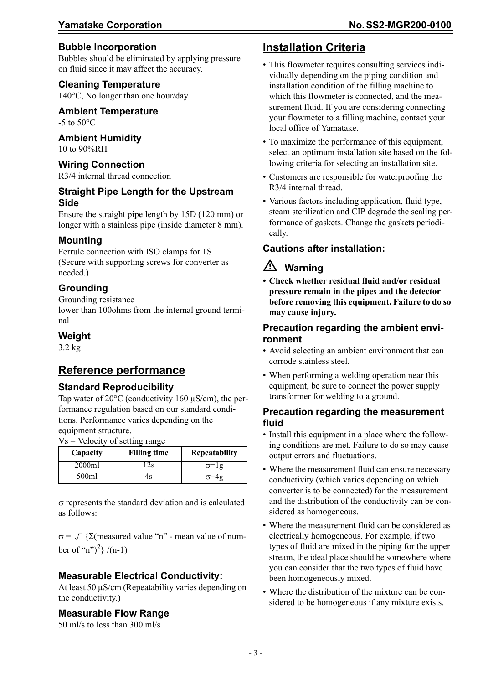#### **Bubble Incorporation**

Bubbles should be eliminated by applying pressure on fluid since it may affect the accuracy.

#### **Cleaning Temperature**

140°C, No longer than one hour/day

#### **Ambient Temperature**

 $-5$  to  $50^{\circ}$ C

#### **Ambient Humidity**

10 to 90%RH

#### **Wiring Connection**

R3/4 internal thread connection

#### **Straight Pipe Length for the Upstream Side**

Ensure the straight pipe length by 15D (120 mm) or longer with a stainless pipe (inside diameter 8 mm).

#### **Mounting**

Ferrule connection with ISO clamps for 1S (Secure with supporting screws for converter as needed.)

#### **Grounding**

Grounding resistance lower than 100ohms from the internal ground terminal

#### **Weight**

3.2 kg

### **Reference performance**

#### **Standard Reproducibility**

Tap water of 20°C (conductivity 160 µS/cm), the performance regulation based on our standard conditions. Performance varies depending on the equipment structure.

 $Vs = Velocity of setting range$ 

| Capacity | <b>Filling time</b> | <b>Repeatability</b> |
|----------|---------------------|----------------------|
| 2000ml   |                     | $\sigma =$ lg        |
| 500ml    | Ŧ٤                  | σ=4g                 |

σ represents the standard deviation and is calculated as follows:

 $\sigma = \sqrt{\sum_{n=1}^{\infty} \sum_{n=1}^{\infty} \sum_{n=1}^{\infty} \sum_{n=1}^{\infty} \sum_{n=1}^{\infty} \sum_{n=1}^{\infty} \sum_{n=1}^{\infty} \sum_{n=1}^{\infty} \sum_{n=1}^{\infty} \sum_{n=1}^{\infty} \sum_{n=1}^{\infty} \sum_{n=1}^{\infty} \sum_{n=1}^{\infty} \sum_{n=1}^{\infty} \sum_{n=1}^{\infty} \sum_{n=1}^{\infty} \sum_{n=1}^{\infty} \sum_{n=1}^{\infty$ ber of "n")<sup>2</sup>} /(n-1)

#### **Measurable Electrical Conductivity:**

At least 50  $\mu$ S/cm (Repeatability varies depending on the conductivity.)

#### **Measurable Flow Range**

50 ml/s to less than 300 ml/s

## **Installation Criteria**

- This flowmeter requires consulting services individually depending on the piping condition and installation condition of the filling machine to which this flowmeter is connected, and the measurement fluid. If you are considering connecting your flowmeter to a filling machine, contact your local office of Yamatake.
- To maximize the performance of this equipment, select an optimum installation site based on the following criteria for selecting an installation site.
- Customers are responsible for waterproofing the R3/4 internal thread.
- Various factors including application, fluid type, steam sterilization and CIP degrade the sealing performance of gaskets. Change the gaskets periodically.

### **Cautions after installation:**

## **Warning**

**• Check whether residual fluid and/or residual pressure remain in the pipes and the detector before removing this equipment. Failure to do so may cause injury.**

#### **Precaution regarding the ambient environment**

- Avoid selecting an ambient environment that can corrode stainless steel.
- When performing a welding operation near this equipment, be sure to connect the power supply transformer for welding to a ground.

#### **Precaution regarding the measurement fluid**

- Install this equipment in a place where the following conditions are met. Failure to do so may cause output errors and fluctuations.
- Where the measurement fluid can ensure necessary conductivity (which varies depending on which converter is to be connected) for the measurement and the distribution of the conductivity can be considered as homogeneous.
- Where the measurement fluid can be considered as electrically homogeneous. For example, if two types of fluid are mixed in the piping for the upper stream, the ideal place should be somewhere where you can consider that the two types of fluid have been homogeneously mixed.
- Where the distribution of the mixture can be considered to be homogeneous if any mixture exists.